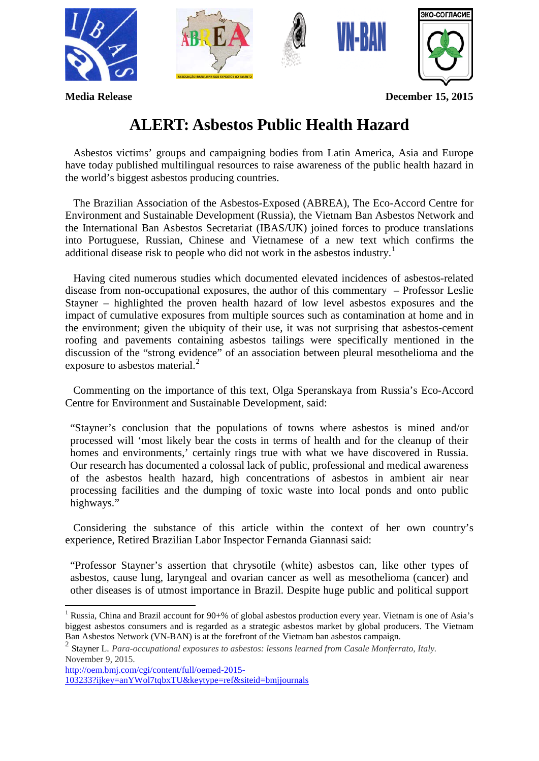

**Media Release December 15, 2015**

## **ALERT: Asbestos Public Health Hazard**

 Asbestos victims' groups and campaigning bodies from Latin America, Asia and Europe have today published multilingual resources to raise awareness of the public health hazard in the world's biggest asbestos producing countries.

 The Brazilian Association of the Asbestos-Exposed (ABREA), The Eco-Accord Centre for Environment and Sustainable Development (Russia), the Vietnam Ban Asbestos Network and the International Ban Asbestos Secretariat (IBAS/UK) joined forces to produce translations into Portuguese, Russian, Chinese and Vietnamese of a new text which confirms the additional disease risk to people who did not work in the asbestos industry.<sup>[1](#page-0-0)</sup>

 Having cited numerous studies which documented elevated incidences of asbestos-related disease from non-occupational exposures, the author of this commentary – Professor Leslie Stayner – highlighted the proven health hazard of low level asbestos exposures and the impact of cumulative exposures from multiple sources such as contamination at home and in the environment; given the ubiquity of their use, it was not surprising that asbestos-cement roofing and pavements containing asbestos tailings were specifically mentioned in the discussion of the "strong evidence" of an association between pleural mesothelioma and the exposure to asbestos material. $^{2}$  $^{2}$  $^{2}$ 

 Commenting on the importance of this text, Olga Speranskaya from Russia's Eco-Accord Centre for Environment and Sustainable Development, said:

"Stayner's conclusion that the populations of towns where asbestos is mined and/or processed will 'most likely bear the costs in terms of health and for the cleanup of their homes and environments,' certainly rings true with what we have discovered in Russia. Our research has documented a colossal lack of public, professional and medical awareness of the asbestos health hazard, high concentrations of asbestos in ambient air near processing facilities and the dumping of toxic waste into local ponds and onto public highways."

 Considering the substance of this article within the context of her own country's experience, Retired Brazilian Labor Inspector Fernanda Giannasi said:

"Professor Stayner's assertion that chrysotile (white) asbestos can, like other types of asbestos, cause lung, laryngeal and ovarian cancer as well as mesothelioma (cancer) and other diseases is of utmost importance in Brazil. Despite huge public and political support

<span id="page-0-0"></span> <sup>1</sup> Russia, China and Brazil account for 90+% of global asbestos production every year. Vietnam is one of Asia's biggest asbestos consumers and is regarded as a strategic asbestos market by global producers. The Vietnam Ban Asbestos Network (VN-BAN) is at the forefront of the Vietnam ban asbestos campaign.

<span id="page-0-1"></span><sup>2</sup> Stayner L. *Para-occupational exposures to asbestos: lessons learned from Casale Monferrato, Italy.*  November 9, 2015.

[http://oem.bmj.com/cgi/content/full/oemed-2015-](http://oem.bmj.com/cgi/content/full/oemed-2015-103233?ijkey=anYWol7tqbxTU&keytype=ref&siteid=bmjjournals)

[<sup>103233?</sup>ijkey=anYWol7tqbxTU&keytype=ref&siteid=bmjjournals](http://oem.bmj.com/cgi/content/full/oemed-2015-103233?ijkey=anYWol7tqbxTU&keytype=ref&siteid=bmjjournals)